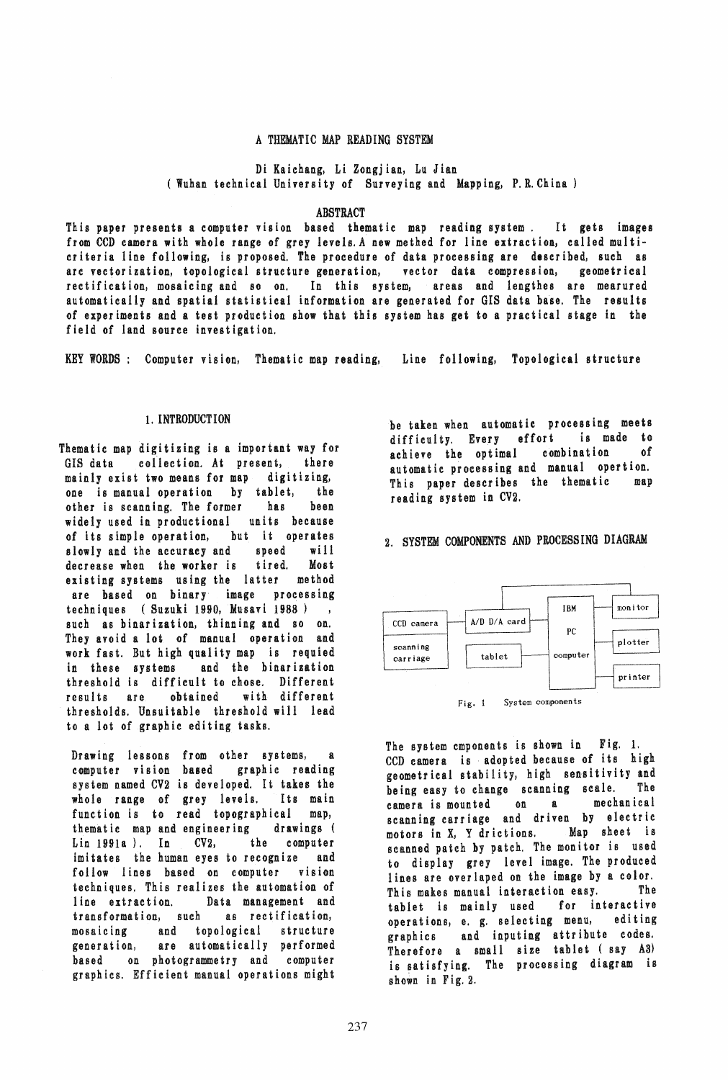### A THEMATIC MAP READING SYSTEM

Di Kaichang, Li Zongjian, Lu Jian (Wuhan technical University of Surveying and Mapping, P.R.China)

### ABSTRACT

This paper presents a computer vision based thematic map reading system. It gets images from CCD camera with whole range of grey levels. A new methed for line extraction, called multicriteria line following, is proposed. The procedure of data processing are described, such as arc vectorization, topological structure generation, vector data compression, geometrical rectification, mosaicing and 80 on. In this system, areas and lengthes are mearured automatically and spatial statistical information are generated for GIS data base. The results of experiments and a test production show that this system has get to a practical stage in the field of land source investigation.

KEY WORDS: Computer vision, Thematic map reading, Line following, Topological structure

### 1. INTRODUCTION

Thematic map digitizing is a important way for GIS data collection. At present, there<br>mainly exist two means for map digitizing, mainly exist two means for map one is manual operation by tablet, the other is scanning. The former has been widely used in productional units because of its simple operation, but it operates slowly and the accuracy and speed will decrease when the worker is tired. Most existing systems using the latter method are based on binary image processing techniques (Suzuki 1990, Musavi 1988 )  $\overline{\phantom{a}}$ such as binarization, thinning and so on. They avoid a lot of manual operation and work fast. But high quality map is requied in these systems and the binarization threshold is difficult to chose. Different results are obtained with different thresholds. Unsuitable threshold will lead to a lot of graphic editing tasks.

Drawing lessons from other systems, computer vision based graphic reading sys tem named CV2 is deve loped. It takes the whole range of grey levels. Its main function is to read topographical map, thematic map and engineering drawings ( Lin 1991a ). In CV2, the computer imitates the human eyes to recognize and follow lines based on computer vision techniques. This realizes the automation of line extraction. Data management and transformation, such as rectification, mosaicing and topological structure generation, are automatically performed based on photogrammetry and computer graphics. Efficient manual operations might be taken when automatic processing meets<br>difficulty Every effort is made to difficulty. Every effort achieve the optimal combination of automatic processing and manual opertion. This paper describes the thematic map reading system in CV2.

2. SYSTEM COMPONENTS AND PROCESSING DIAGRAM



The system cmponents is shown in Fig. 1. CCD camera is adopted because of its high geometrical stability, high sensitivity and being easy to change scanning scale. The camera is mounted on a mechanical scanning carriage and driven by electric motors in X, Y drictions. Map sheet is scanned patch by patch. The monitor is used to display grey level image. The produced lines are overlaped on the image by a color. This makes manual interaction easy. The tablet is mainly used for interactive operations, e. g. selecting menu, editing graphics and inputing attribute codes. Therefore a small size tablet (say A3) is satisfying. The processing diagram is shown in Fig. 2.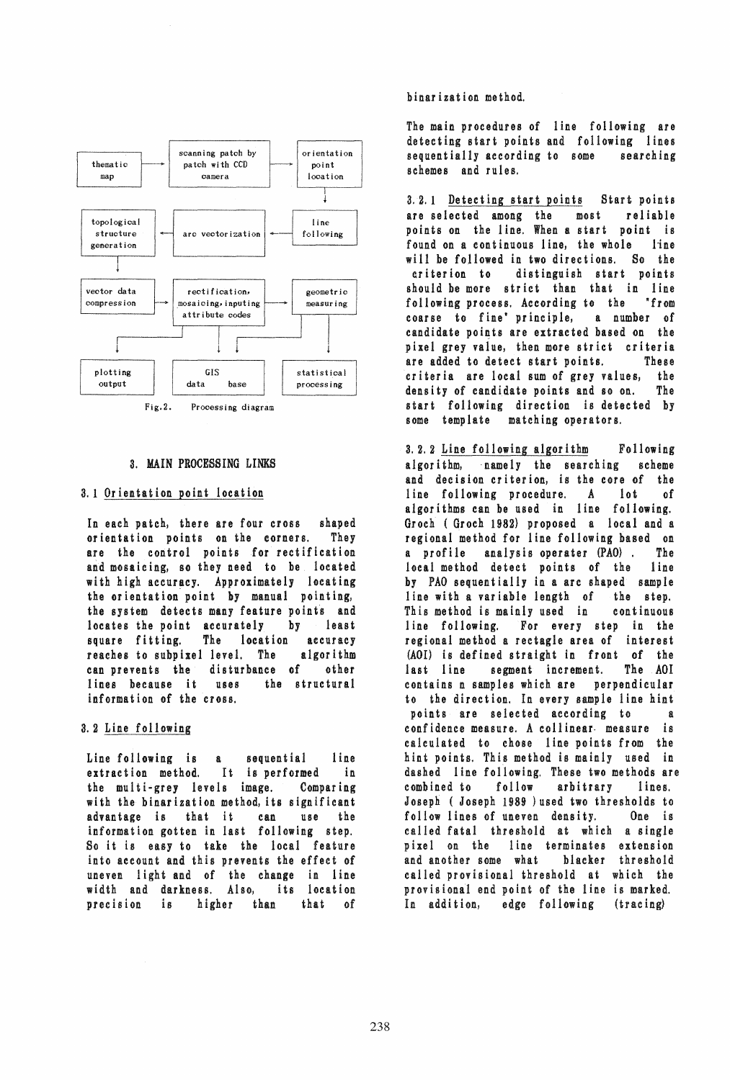

# 3. MAIN PROCESSING LINKS

# 3.1 Orientation point location

In each patch, there are four cross shaped orientation points on the corners. They are the control points for rectification and mosaicing, so they need to be located with high accuracy. Approximately locating the orientation point by manual pointing, the system detects many feature points and locates the point accurately by least square fitting. The location accuracy reaches to subpixel level. The algorithm can prevents the disturbance of other lines because it uses the structural information of the cross.

# 3.2 Line following

Line following is a sequential line extraction method. It is performed in the multi-grey levels image. Comparing with the binarization method, its significant advantage is that it can use the information gotten in last following step. So it is easy to take the local feature into account and this prevents the effect of uneven light and of the change in line width and darkness. Also, its location precision is higher than that of

## binarization method.

The main procedures of line following are detecting start points and following lines sequentially according to some searching schemes and rules.

3.2.1 Detecting start points Start points are selected among the most reliable points on the line. When a start point is found on a continuous line, the whole line will be followed in two directions. So the criterion to distinguish start points should be more strict than that in line following process. According to the "from coarse to fine' principle, a number of candidate points are extracted based on the pixel grey value, then more strict criteria are added to detect start points. These criteria are local sum of grey values, the density of candidate points and so on. The start following direction is detected by some template matching operators.

3.2.2 Line following algorithm Following algorithm, namely the searching scheme and decision criterion, is the core of the line following procedure. A lot of algorithms can be used in line following. Groch (Groch 1982) proposed a local and a regional method for line following based on<br>a profile analysis operater (PAO). The a profile analysis operater (PAO). local method detect points of the line by PAO sequentially in a arc shaped sample line with a variable length of the step. This method is mainly used in continuous line following. For every step in the regional method a rectagle area of interest (AOI) is defined straight in front of the last line segment increment. The AOI contains n samples which are perpendicular to the direction. In every sample line hint points are selected according to a confidence measure. A collinear measure is calculated to chose line points from the hint points. This method is mainly used in dashed line following. These two methods are combined to follow arbitrary lines. Joseph ( Joseph 1989 ) used two thresholds to follow lines of uneven density. One is called fatal threshold at which a single pixel on the line terminates extension and another some what blacker threshold called provisional threshold at which the provisional end point of the line is marked. In addition, edge following (tracing)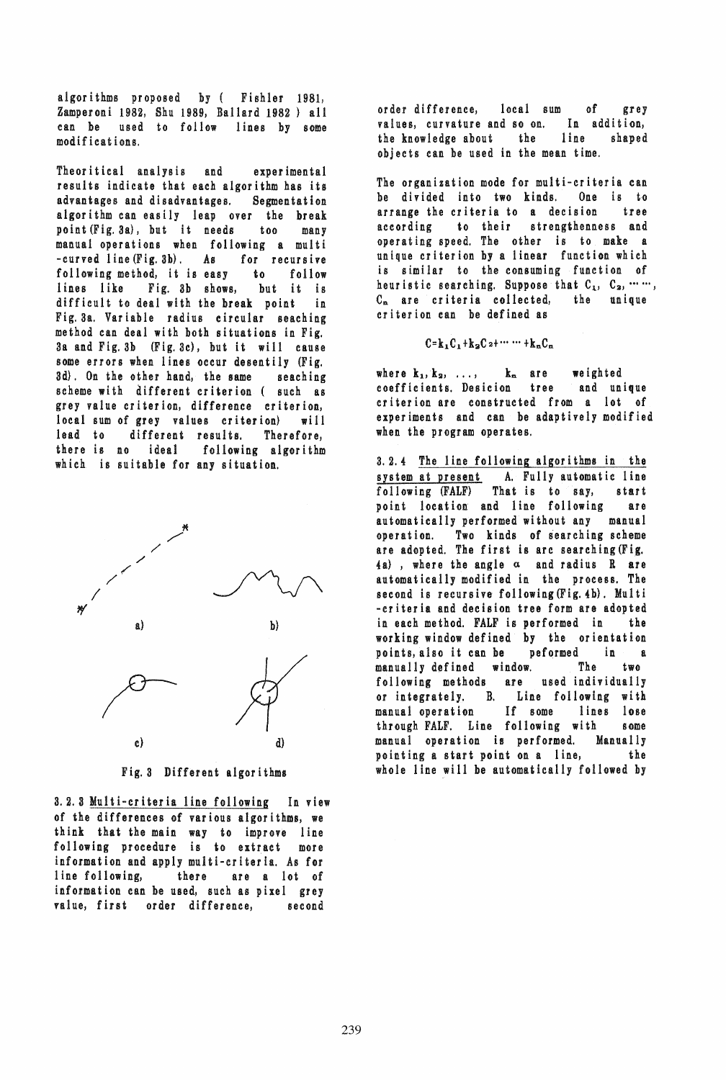algori thms proposed by ( FishIer 1981, Zamperoni 1982, Shu 1989, Ballard 1982 ) all can be used to follow lines by some modifications.

Theoritical analysis and experimental results indicate that each algorithm has its advantages and disadvantages. Segmentation algorithm can easily leap over the break point (Fig. 3a), but it needs too many manual operations when following a multi -curved line(Fig.3b). As for recursive following method, it is easy to follow lines like Fig. 3b shows, but it is difficult to deal with the break point in Fig. 38.. Variable radius circular seaching method can deal with both situations in Fig. 3a and Fig.3b (Fig.3c), but it will cause some errors when lines occur desentily (Fig. 3d). On the other hand, the same seaching scheme with different criterion ( such as grey value cri terion, difference criterion, local sum of grey values criterion} will lead to different results. Therefore, there is no ideal following algorithm which is suitable for any situation.



Fig. 3 Different algori thms

3.2.3 Multi-criteria line following In view of the differences of various algorithms, we think that the main way to improve line following procedure is to extract more information and apply multi-criteria. As for line following, there are a lot of information can be used, such as pixel grey value, first order difference, second

order difference, local sum of grey values, curvature and so on. In addition, the knowledge about the line shaped objects can be used in the mean time.

The organization mode for multi-criteria can be divided into two kinds. One is to arrange the criteria to a decision tree according to their strengthenness and operating speed. The other is to make a unique criterion by a linear function which is similar to the consuming function of heur istic searching. Suppose that  $C_1, C_2, \cdots \cdots$ , Cn are criteria collected, the unique criterion can be defined as

 $C=k_1C_1+k_2C_2+\cdots+ k_nC_n$ 

where  $k_1, k_2, \ldots,$   $k_n$  are weighted coefficients. Desicion tree and unique criterion are constructed from a lot of experiments and can be adaptively modified when the program operates.

3. 2. 4 The line following algorithms in the system at present A. Fully automatic line following (FALF) That is to say, start point location and line following are automatically performed without any manual operation. Two kinds of searching scheme are adopted. The first is arc searching (Fig.  $4a)$ , where the angle  $\alpha$  and radius R are automatically modified in the process. The second is recursive following  $(Fig. 4b)$ . Multi -criteria and decision tree form are adopted in each method. FALF is performed in the working window defined by the orientation points, also it can be peformed in a manually defined window. The two following methods are used individually or integrately. B. Line following with manual operation If some lines lose through FALF. Line following with some manual operation is performed. Manually pointing a start point on a line, the whole line will be automatically followed by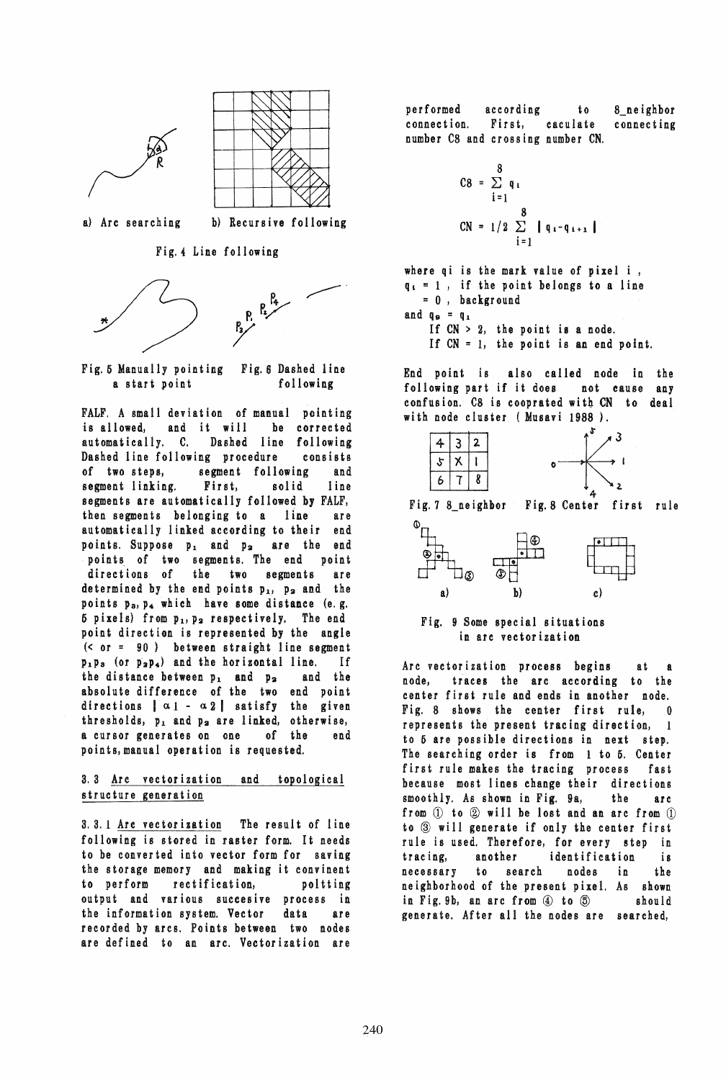



a} Arc searching b} Recursive following

Fig.4 Line following





FALF. A small deviation of manual pointing is allowed, and it will be corrected automatically, C. Dashed line following Dashed line following procedure consists of two steps, segment following and segment linking. First, solid line segments are automatically followed by FALF, then segments belonging to a line are automatically linked according to their end points. Suppose  $p_1$  and  $p_2$  are the end points of two segments. The end point directions of the two segments are determined by the end points  $p_1$ ,  $p_2$  and the points  $p_a$ ,  $p_4$  which have some distance (e.g.  $5$  pixels) from  $p_1, p_2$  respectively. The end point direction is represented by the angle  $( $or = 90$ ) between straight line segment$  $p_1p_3$  (or  $p_2p_4$ ) and the horizontal line. If<br>the distance between  $p_1$  and  $p_2$  and the the distance between  $p_1$  and  $p_2$ absolute difference of the two end point directions  $\alpha_1 - \alpha_2$  satisfy the given thre sholds,  $p_1$  and  $p_2$  are linked, otherwise, a cursor generates on one of the end points,manual operation is requested.

# 3.3 Arc vectorization and topological structure generation

3.3.1 Arc vectorization The result of line following is stored in raster form. It needs to be converted into vector form for saving the storage memory and making it convinent to perform rectification, poitting output and various suceesive process in the information system. Vector data are recorded by arcs. Points between two nodes are defined to an arc. Vectorization are

performed according to connection. First, eaculate number C8 and crossing number CN. 8\_neighbor connecting

$$
CS = \sum_{i=1}^{8} q_i
$$
  
 
$$
CN = 1/2 \sum_{i=1}^{8} |q_i - q_{i+1}|
$$

where qi is the mark value of pixel i ,  $q_i = 1$ , if the point belongs to a line :: 0, backgr ound and  $q_9 = q_1$ If  $CN > 2$ , the point is a node.

If  $CN = 1$ , the point is an end point.

End point is also called node in the following part if it does not cause any confusion. C8 is cooprated with CN to deal wi th node cluster (Musavi 1988 ).



4- Fig.7 8\_neighbor Fig,8 Center first rule



# Fig. 9 Some special situations in are vectorization

Arc vectorization process begins at a node, traces the arc according to the center first rule and ends in another node. Fig. 8 shows the center first rule, 0 represents the present tracing direction, to 5 are possible directions in next step. The searching order is from 1 to 5. Center first rule makes the tracing process fast because most lines change their directions smoothly. As shown in Fig. 9a, the arc from  $(1)$  to  $(2)$  will be lost and an arc from  $(1)$ to  $\circledcirc$  will generate if only the center first rule is used. Therefore, for every step in tracing, another identification is necessary to search nodes in the neighborhood of the present pixel. As shown in Fig. 9b, an arc from  $\overline{4}$  to  $\overline{5}$  should generate. After all the nodes are searched,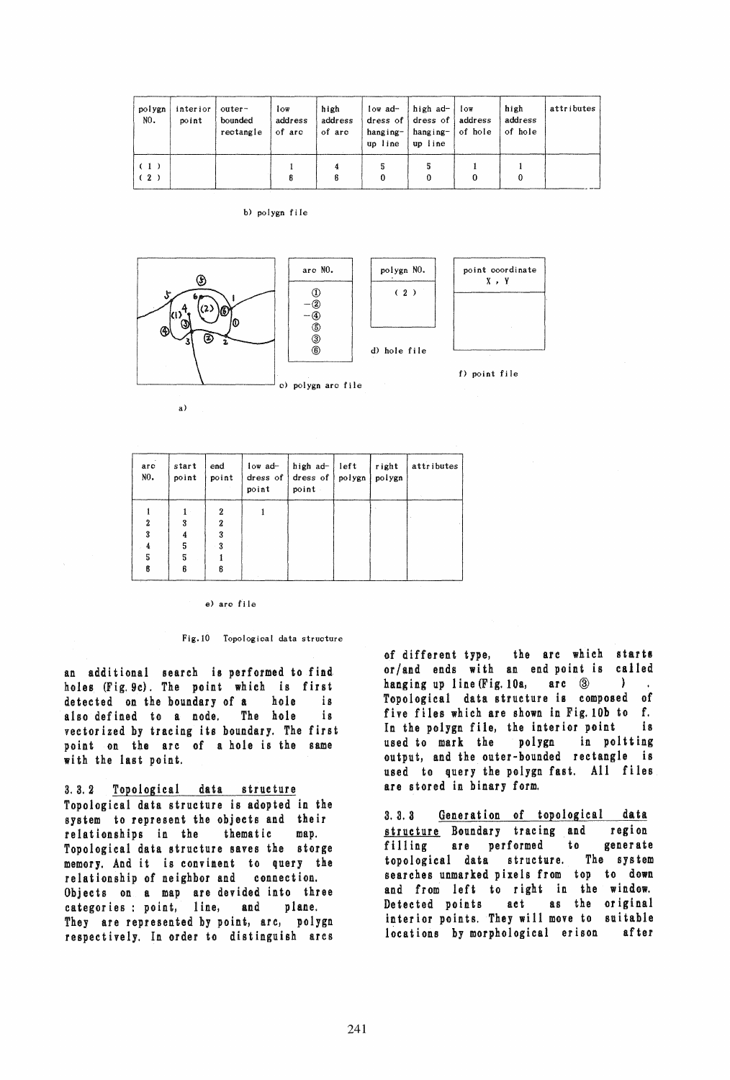| polygn<br>NO. | interior<br>point | outer-<br>bounded<br>rectangle | 1 <sub>ov</sub><br>address<br>of arc | high<br>address<br>of arc | low ad-<br>hanging-<br>up line | $hatad$ - $low$<br>dress of dress of address<br>hanging- of hole<br>up line | high<br>address<br>of hole | attributes |
|---------------|-------------------|--------------------------------|--------------------------------------|---------------------------|--------------------------------|-----------------------------------------------------------------------------|----------------------------|------------|
| (1)<br>(2)    |                   |                                |                                      |                           |                                |                                                                             |                            |            |

b) polygn file



a)

| arc<br>NO. | start<br>point | end<br>point | $low$ $ad-$<br>point | high ad-<br>dress of dress of<br>point | left<br>polygn | right<br>polygn | attributes |
|------------|----------------|--------------|----------------------|----------------------------------------|----------------|-----------------|------------|
|            |                | 2            |                      |                                        |                |                 |            |
|            | 3              | 2            |                      |                                        |                |                 |            |
|            |                | 3            |                      |                                        |                |                 |            |
| 4          | 5              | 3            |                      |                                        |                |                 |            |
| 5          | 5              |              |                      |                                        |                |                 |            |
|            | ß              | 6            |                      |                                        |                |                 |            |

#### e) arc fi Ie

### Fig.10 Topological data structure

an additional search is performed to find holes (Fig. 9c). The point which is first detected on the boundary of a hole is also defined to a node. The hole is vectorized by tracing its boundary. The first point on the arc of a hole is the same with the last point.

3.3.2 Topological data structure Topological data structure is adopted in the system **to** represent the objects and their relationships in the thematic map. Topological data structure saves the storge memory. And it is convinent to query the relationship of neighbor and connection. Objects on a map are devided into three categories : point, line, and plane. They are represented by point, arc, polygn respectively. In order to distinguish arcs

of different type, the arc which starts or/and ends with an end point is called hanging up line (Fig. 10a, arc 3) Topological data structure is composed of five files which are shown in Fig. 10b to f. In the poiygn file, the interior point is used to mark the polygn in poltting output, and the outer-bounded rectangle is used to query the polygn fast. All files are stored in binary form.

3.3.3 Generation of topological data structure Boundary tracing and region filling are performed to generate topological data structure. The system searches unmarked pixels from top to down and from left to right in the window. Detected points act as the original interior points. They will move to suitable locations by morphological erison after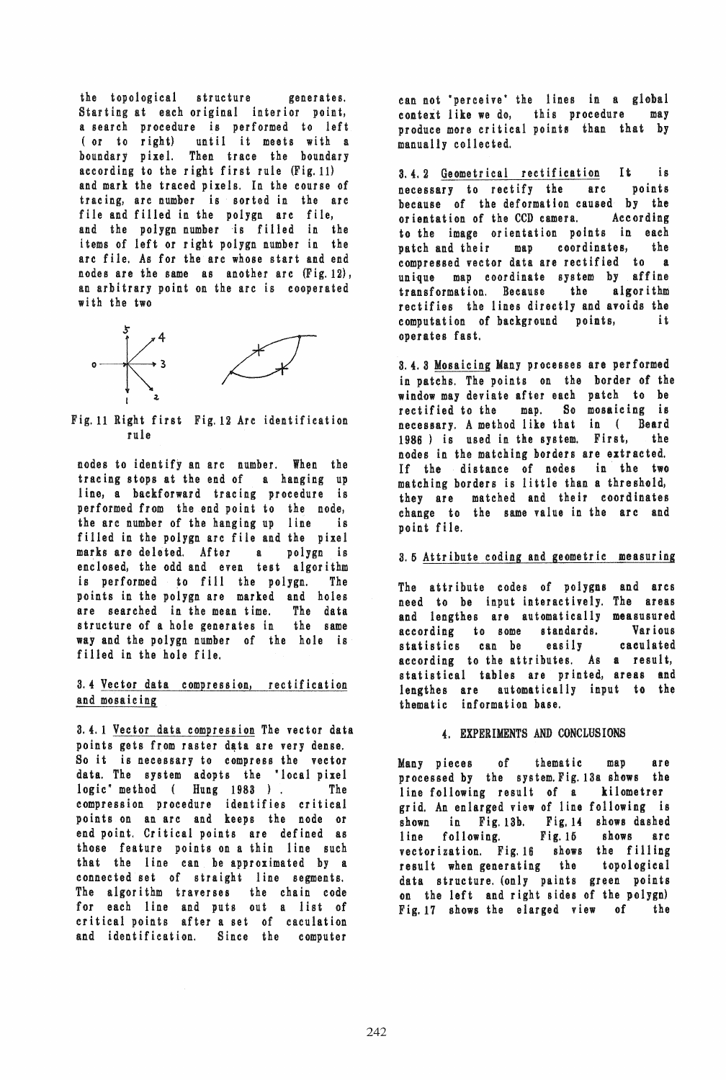the topological structure generates. Starting at each original interior point, a search procedure is performed to left (or to right) until it meets with a boundary pixel. Then trace the boundary according to the right first rule (Fig. 11) and mark the traced pixels. In the course of tracing, arc number is sorted in the arc file and filled in the polygn arc file, and the polygn number is filled in the items of left or right polygn number in the arc file. As for the arc whose start and end nodes are the same as another arc (Fig. 12), an arbitrary point on the arc is cooperated with the two



Fig. 11 Right first Fig. 12 Are identification rule

nodes to identify an arc number. When the tracing stops at the end of a hanging up line, a backforward tracing procedure is performed from the end point to the node, the arc number of the hanging up line is filled in the polygn arc file and the pixel marks are deleted. After a polygn is enclosed, the odd and even test algorithm is performed to fill the polygn. The points in the polygn are marked and holes are searched in the mean time. The data structure of a hole generates in the same way and the polygn number of the hole is filled in the hole file.

# 3.4 Vector data compression, rectification and mosaieing

3.4.1 Vector data compression The vector data points gets from raster data are very dense. So it is necessary to compress the vector data. The system adopts the "local pixel logic method ( Hung 1983 ). The compression procedure identifies critical points on an arc and keeps the node or end point. Critical points are defined as those feature points on a thin line such that the line can be approximated by a connected set of straight line segments. The algorithm traverses the chain code for each line and puts out a list of critical points after a set of caculation and identification. Since the computer

can not 'perceive' the lines in a global context like we do, this procedure may produce more critical points than that by manua 11y colI ec ted.

3.4.2 Geometrical rectification It is necessary to rectify the arc points because of the deformation caused by the orientation of the CCD camera. According to the image orientation points in each patch and their map coordinates, the compressed vector data are rectified to a unique map coordinate system by affine transformation. Because the algorithm rectifies the lines directly and avoids the computation of background points, operates fast.

3.4.3 Mosaicing Many processes are performed in patchs. The points on the border of the window may deviate after each patch to be rectified to the map. So mosaicing is necessuy. A method like that in ( Beard 1986) is used in the system. First, the nodes in the matching borders are extracted. If the distance of nodes in the two matching borders is little than a threshold, they are matched and their coordinates change to the same value in the are and point file.

## 3.5 Attribute coding and geometric measuring

The attribute codes of polygns and arcs need to be input interactively. The areas and lengthes are automatically measusured according to some standards. Various statistics can be easily caculated according to the attributes. As a result, statistical tables are printed, areas and lengthes are automatically input to the thematic information base.

# 4. EXPERIMENTS AND CONCLUSIONS

Many pieces of thematic map are processed by the system. Fig. 13a shows the line following result of a kilometrer grid. An enlarged view of line following is shown in Fig. 13b. Fig. 14 shows dashed line following. Fig. 16 shows arc vectorization. Fig. 16 shows the filling result when generating the topological data structure. (only paints green points on the left and right sides of the polygn) Fig. 17 shows the elarged view of the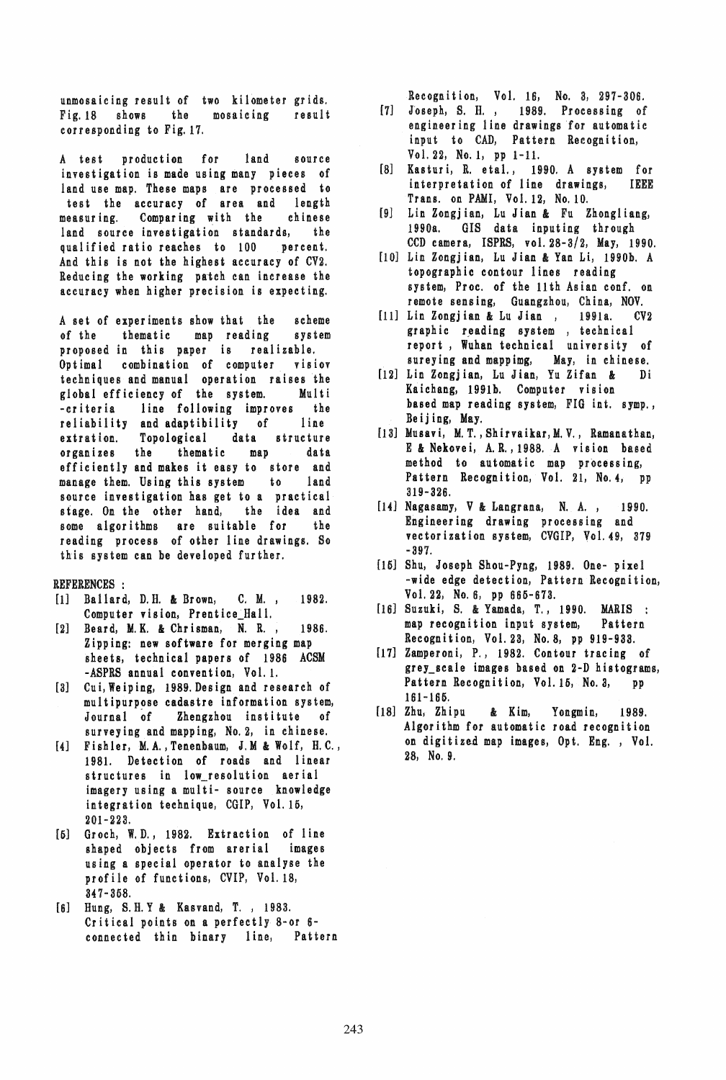unmosaicing result of two kilometer grids. Fig.18 shows the mosaicing result corresponding to Fig. 17.

A test production for land source investigation is made using many pieces of land use map. These maps are processed to test the accuracy of area and length measuring. Comparing with the chinese land source investigation standards, the qualified ratio reaches to 100 percent. And this is not the highest accuracy of CV2. Reducing the working patch can increase the accuracy when higher precision is expecting.

A set of experiments show that the scheme of the thematic map reading system proposed in this paper is realizable. Optimal combination of computer visiov techniques and manual operation raises the global efficiency of the system. Multi -criteria line following improves the reliability and adaptibility of line extration. Topological data structure organizes the thematic map data efficiently and makes it easy to store and manage them. Using this system to land source investigation has get to a practical stage. On the other hand, the idea and some algorithms are suitable for the reading process of other line drawings. So this system can be developed further.

# REFERENCES :

- [1] Ballard, D.H. & Brown, C.M., 1982. Computer vision, Prentice\_Hall.
- [2] Beard, M. K. & Chrisman, N. R., 1986. Zipping: new software for merging map sheets, technical papers of 1986 ACSM -ASPRS annual convention, Vol. 1.
- [3] Cui, Weiping, 1989. Design and research of multipurpose cadastre information system, Journal of Zhengzhou institute of surveying and mapping, No.2, in chinese.
- [4] Fishier, M.A.,Tenenbaum, J.M &: Wolf, H.C., 1981. Detection of roads and linear structures in low\_resolution aerial imagery using a multi- source knowledge integration technique, CGIP, Vol. 15, 201- 223.
- [5] Groch, W. D. J 1982. Extraction of line shaped objects from arerial images using a special operator to analyse the profile of functions, CVIP, Vol. 18, 347-358.
- [6] Hung, S.H. Y & Kasvand, T., 1983. Critical points on a perfectly 8-or 6 connected thin binary line, Pattern

Recognition, Vol. 16, No. 3, 297-306.

- [7] Joseph, S. H., 1989. Processing of engineering line drawings for automatic input to CAD, Pattern Recognition, Vol. 22, No.1, pp 1-11.
- [8] Kasturi, R. etal., 1990. A system for interpretation of line drawings, IEEE Trans. on PAMI, Vol. 12, No. 10.
- [9] Lin Zongjian, Lu Jian &: Fu Zhongliang, 1990a. GIS data inputing through CCD camera, ISPRS, vol. 28-3/2, May, 1990.
- [10] Lin Zongjian, Lu Jian & Yan Li, 1990b. A topographic contour lines reading system, Proc. of the 11 th As ian conf. on remote sensing, Guangzhou, China, NOV.
- [11] Lin Zongjian & Lu Jian, 1991a. CV2 graphic reading system , technical report, Wuhan technical university of sureying and mappimg, May, in chinese.
- [12] Lin Zongj ian, Lu Jian, Yu Zifan &: Di Kaichang, 1991b. Computer vision based map reading system, FIG int. symp., Beij ing, May.
- [13] Musavi, M.T., Shirvaikar, M.V., Ramanathan, E &: Nekovei, A.R., 1988. A vision based method to automatic map processing, Pattern Recognition, Vol. 21, No.4, pp 319- 326.
- $[14]$  Nagasamy, V & Langrana, N. A., 1990. Engineering drawing processing and vectorization system, CVGIP, Vol. 49, 379 -397.
- [15] Shu, Joseph Shou-Pyng, 1989. One- pixel -wide edge detection, Pattern Recognition, Vol. 22, No.6, pp 666-673.
- [16] Suzuki, S. & Yamada, T., 1990. MARIS : map recognition input system, Pattern Recognition, Vol. 23, No.8, pp 919-933.
- [17] Zamper on i, P., 1982. Contour tracing of grey\_scale images based on 2-D histograms, Pattern Recognition, Vo1.15, No.3, pp 161-165.
- [18] Zhu, Zhipu & Kim, Yongmin, 1989. Algorithm for automatic road recognition on digitized map images, Opt. Eng. , Vol. 28, No.9.